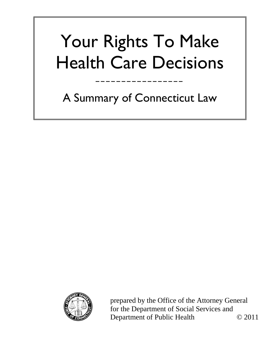# Your Rights To Make Health Care Decisions

A Summary of Connecticut Law

**\_\_\_\_\_\_\_\_\_\_\_\_\_\_\_\_\_** 



prepared by the Office of the Attorney General for the Department of Social Services and Department of Public Health © 2011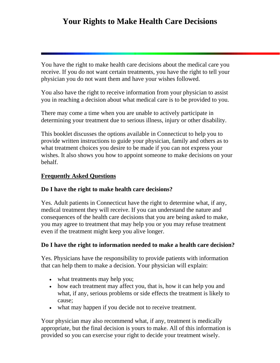### **Your Rights to Make Health Care Decisions**

You have the right to make health care decisions about the medical care you receive. If you do not want certain treatments, you have the right to tell your physician you do not want them and have your wishes followed.

You also have the right to receive information from your physician to assist you in reaching a decision about what medical care is to be provided to you.

There may come a time when you are unable to actively participate in determining your treatment due to serious illness, injury or other disability.

This booklet discusses the options available in Connecticut to help you to provide written instructions to guide your physician, family and others as to what treatment choices you desire to be made if you can not express your wishes. It also shows you how to appoint someone to make decisions on your behalf.

#### **Frequently Asked Questions**

#### **Do I have the right to make health care decisions?**

Yes. Adult patients in Connecticut have the right to determine what, if any, medical treatment they will receive. If you can understand the nature and consequences of the health care decisions that you are being asked to make, you may agree to treatment that may help you or you may refuse treatment even if the treatment might keep you alive longer.

#### **Do I have the right to information needed to make a health care decision?**

Yes. Physicians have the responsibility to provide patients with information that can help them to make a decision. Your physician will explain:

- what treatments may help you;
- how each treatment may affect you, that is, how it can help you and what, if any, serious problems or side effects the treatment is likely to cause;
- what may happen if you decide not to receive treatment.

Your physician may also recommend what, if any, treatment is medically appropriate, but the final decision is yours to make. All of this information is provided so you can exercise your right to decide your treatment wisely.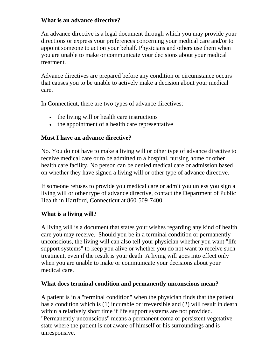#### **What is an advance directive?**

An advance directive is a legal document through which you may provide your directions or express your preferences concerning your medical care and/or to appoint someone to act on your behalf. Physicians and others use them when you are unable to make or communicate your decisions about your medical treatment.

Advance directives are prepared before any condition or circumstance occurs that causes you to be unable to actively make a decision about your medical care.

In Connecticut, there are two types of advance directives:

- the living will or health care instructions
- the appointment of a health care representative

#### **Must I have an advance directive?**

No. You do not have to make a living will or other type of advance directive to receive medical care or to be admitted to a hospital, nursing home or other health care facility. No person can be denied medical care or admission based on whether they have signed a living will or other type of advance directive.

If someone refuses to provide you medical care or admit you unless you sign a living will or other type of advance directive, contact the Department of Public Health in Hartford, Connecticut at 860-509-7400.

#### **What is a living will?**

A living will is a document that states your wishes regarding any kind of health care you may receive. Should you be in a terminal condition or permanently unconscious, the living will can also tell your physician whether you want "life support systems" to keep you alive or whether you do not want to receive such treatment, even if the result is your death. A living will goes into effect only when you are unable to make or communicate your decisions about your medical care.

#### **What does terminal condition and permanently unconscious mean?**

A patient is in a "terminal condition" when the physician finds that the patient has a condition which is (1) incurable or irreversible and (2) will result in death within a relatively short time if life support systems are not provided. "Permanently unconscious" means a permanent coma or persistent vegetative state where the patient is not aware of himself or his surroundings and is unresponsive.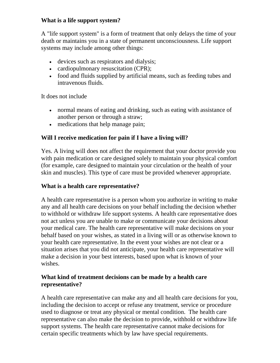#### **What is a life support system?**

A "life support system" is a form of treatment that only delays the time of your death or maintains you in a state of permanent unconsciousness. Life support systems may include among other things:

- devices such as respirators and dialysis;
- cardiopulmonary resuscitation (CPR);
- food and fluids supplied by artificial means, such as feeding tubes and intravenous fluids.

It does not include

- normal means of eating and drinking, such as eating with assistance of another person or through a straw;
- medications that help manage pain;

#### **Will I receive medication for pain if I have a living will?**

Yes. A living will does not affect the requirement that your doctor provide you with pain medication or care designed solely to maintain your physical comfort (for example, care designed to maintain your circulation or the health of your skin and muscles). This type of care must be provided whenever appropriate.

#### **What is a health care representative?**

A health care representative is a person whom you authorize in writing to make any and all health care decisions on your behalf including the decision whether to withhold or withdraw life support systems. A health care representative does not act unless you are unable to make or communicate your decisions about your medical care. The health care representative will make decisions on your behalf based on your wishes, as stated in a living will or as otherwise known to your health care representative. In the event your wishes are not clear or a situation arises that you did not anticipate, your health care representative will make a decision in your best interests, based upon what is known of your wishes.

#### **What kind of treatment decisions can be made by a health care representative?**

A health care representative can make any and all health care decisions for you, including the decision to accept or refuse any treatment, service or procedure used to diagnose or treat any physical or mental condition. The health care representative can also make the decision to provide, withhold or withdraw life support systems. The health care representative cannot make decisions for certain specific treatments which by law have special requirements.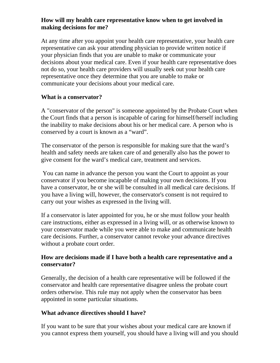#### **How will my health care representative know when to get involved in making decisions for me?**

At any time after you appoint your health care representative, your health care representative can ask your attending physician to provide written notice if your physician finds that you are unable to make or communicate your decisions about your medical care. Even if your health care representative does not do so, your health care providers will usually seek out your health care representative once they determine that you are unable to make or communicate your decisions about your medical care.

#### **What is a conservator?**

A "conservator of the person" is someone appointed by the Probate Court when the Court finds that a person is incapable of caring for himself/herself including the inability to make decisions about his or her medical care. A person who is conserved by a court is known as a "ward".

The conservator of the person is responsible for making sure that the ward's health and safety needs are taken care of and generally also has the power to give consent for the ward's medical care, treatment and services.

 You can name in advance the person you want the Court to appoint as your conservator if you become incapable of making your own decisions. If you have a conservator, he or she will be consulted in all medical care decisions. If you have a living will, however, the conservator's consent is not required to carry out your wishes as expressed in the living will.

If a conservator is later appointed for you, he or she must follow your health care instructions, either as expressed in a living will, or as otherwise known to your conservator made while you were able to make and communicate health care decisions. Further, a conservator cannot revoke your advance directives without a probate court order.

#### **How are decisions made if I have both a health care representative and a conservator?**

Generally, the decision of a health care representative will be followed if the conservator and health care representative disagree unless the probate court orders otherwise. This rule may not apply when the conservator has been appointed in some particular situations.

#### **What advance directives should I have?**

If you want to be sure that your wishes about your medical care are known if you cannot express them yourself, you should have a living will and you should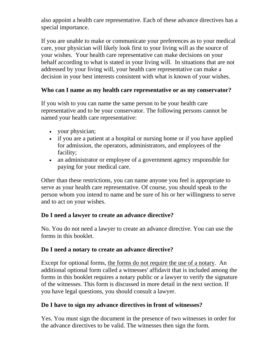also appoint a health care representative. Each of these advance directives has a special importance.

If you are unable to make or communicate your preferences as to your medical care, your physician will likely look first to your living will as the source of your wishes. Your health care representative can make decisions on your behalf according to what is stated in your living will. In situations that are not addressed by your living will, your health care representative can make a decision in your best interests consistent with what is known of your wishes.

#### **Who can I name as my health care representative or as my conservator?**

If you wish to you can name the same person to be your health care representative and to be your conservator. The following persons cannot be named your health care representative:

- your physician;
- if you are a patient at a hospital or nursing home or if you have applied for admission, the operators, administrators, and employees of the facility;
- an administrator or employee of a government agency responsible for paying for your medical care.

Other than these restrictions, you can name anyone you feel is appropriate to serve as your health care representative. Of course, you should speak to the person whom you intend to name and be sure of his or her willingness to serve and to act on your wishes.

#### **Do I need a lawyer to create an advance directive?**

No. You do not need a lawyer to create an advance directive. You can use the forms in this booklet.

#### **Do I need a notary to create an advance directive?**

Except for optional forms, the forms do not require the use of a notary. An additional optional form called a witnesses' affidavit that is included among the forms in this booklet requires a notary public or a lawyer to verify the signature of the witnesses. This form is discussed in more detail in the next section. If you have legal questions, you should consult a lawyer.

#### **Do I have to sign my advance directives in front of witnesses?**

Yes. You must sign the document in the presence of two witnesses in order for the advance directives to be valid. The witnesses then sign the form.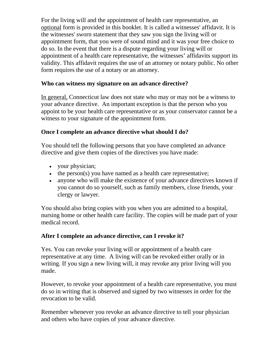For the living will and the appointment of health care representative, an optional form is provided in this booklet. It is called a witnesses' affidavit. It is the witnesses' sworn statement that they saw you sign the living will or appointment form, that you were of sound mind and it was your free choice to do so. In the event that there is a dispute regarding your living will or appointment of a health care representative, the witnesses' affidavits support its validity. This affidavit requires the use of an attorney or notary public. No other form requires the use of a notary or an attorney.

#### **Who can witness my signature on an advance directive?**

In general, Connecticut law does not state who may or may not be a witness to your advance directive. An important exception is that the person who you appoint to be your health care representative or as your conservator cannot be a witness to your signature of the appointment form.

#### **Once I complete an advance directive what should I do?**

You should tell the following persons that you have completed an advance directive and give them copies of the directives you have made:

- your physician;
- $\bullet$  the person(s) you have named as a health care representative;
- anyone who will make the existence of your advance directives known if you cannot do so yourself, such as family members, close friends, your clergy or lawyer.

You should also bring copies with you when you are admitted to a hospital, nursing home or other health care facility. The copies will be made part of your medical record.

#### **After I complete an advance directive, can I revoke it?**

Yes. You can revoke your living will or appointment of a health care representative at any time. A living will can be revoked either orally or in writing. If you sign a new living will, it may revoke any prior living will you made.

However, to revoke your appointment of a health care representative, you must do so in writing that is observed and signed by two witnesses in order for the revocation to be valid.

Remember whenever you revoke an advance directive to tell your physician and others who have copies of your advance directive.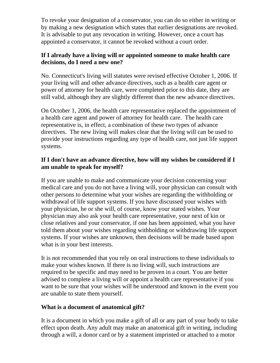To revoke your designation of a conservator, you can do so either in writing or by making a new designation which states that earlier designations are revoked. It is advisable to put any revocation in writing. However, once a court has appointed a conservator, it cannot be revoked without a court order.

#### **If I already have a living will or appointed someone to make health care decisions, do I need a new one?**

No. Connecticut's living will statutes were revised effective October 1, 2006. If your living will and other advance directives, such as a health care agent or power of attorney for health care, were completed prior to this date, they are still valid, although they are slightly different than the new advance directives.

On October 1, 2006, the health care representative replaced the appointment of a health care agent and power of attorney for health care. The health care representative is, in effect, a combination of these two types of advance directives. The new living will makes clear that the living will can be used to provide your instructions regarding any type of health care, not just life support systems.

#### **If I don't have an advance directive, how will my wishes be considered if I am unable to speak for myself?**

If you are unable to make and communicate your decision concerning your medical care and you do not have a living will, your physician can consult with other persons to determine what your wishes are regarding the withholding or withdrawal of life support systems. If you have discussed your wishes with your physician, he or she will, of course, know your stated wishes. Your physician may also ask your health care representative, your next of kin or close relatives and your conservator, if one has been appointed, what you have told them about your wishes regarding withholding or withdrawing life support systems. If your wishes are unknown, then decisions will be made based upon what is in your best interests.

It is not recommended that you rely on oral instructions to these individuals to make your wishes known. If there is no living will, such instructions are required to be specific and may need to be proven in a court. You are better advised to complete a living will or appoint a health care representative if you want to be sure that your wishes will be understood and known in the event you are unable to state them yourself.

#### **What is a document of anatomical gift?**

It is a document in which you make a gift of all or any part of your body to take effect upon death. Any adult may make an anatomical gift in writing, including through a will, a donor card or by a statement imprinted or attached to a motor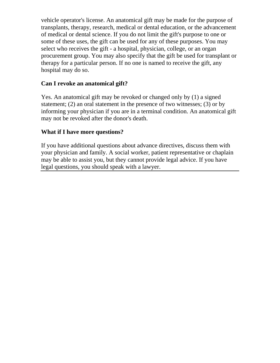vehicle operator's license. An anatomical gift may be made for the purpose of transplants, therapy, research, medical or dental education, or the advancement of medical or dental science. If you do not limit the gift's purpose to one or some of these uses, the gift can be used for any of these purposes. You may select who receives the gift - a hospital, physician, college, or an organ procurement group. You may also specify that the gift be used for transplant or therapy for a particular person. If no one is named to receive the gift, any hospital may do so.

#### **Can I revoke an anatomical gift?**

Yes. An anatomical gift may be revoked or changed only by (1) a signed statement; (2) an oral statement in the presence of two witnesses; (3) or by informing your physician if you are in a terminal condition. An anatomical gift may not be revoked after the donor's death.

#### **What if I have more questions?**

If you have additional questions about advance directives, discuss them with your physician and family. A social worker, patient representative or chaplain may be able to assist you, but they cannot provide legal advice. If you have legal questions, you should speak with a lawyer.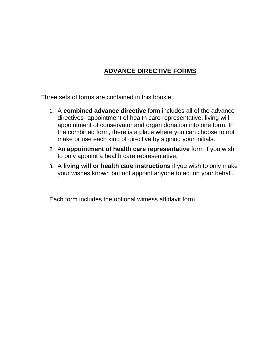### **ADVANCE DIRECTIVE FORMS**

Three sets of forms are contained in this booklet.

- 1. A **combined advance directive** form includes all of the advance directives- appointment of health care representative, living will, appointment of conservator and organ donation into one form. In the combined form, there is a place where you can choose to not make or use each kind of directive by signing your initials.
- 2. An **appointment of health care representative** form if you wish to only appoint a health care representative.
- 3. A **living will or health care instructions** if you wish to only make your wishes known but not appoint anyone to act on your behalf.

Each form includes the optional witness affidavit form.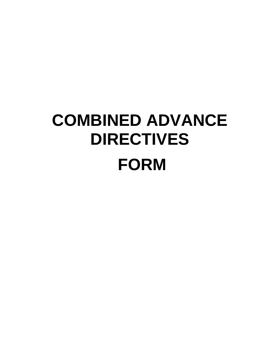# **COMBINED ADVANCE DIRECTIVES FORM**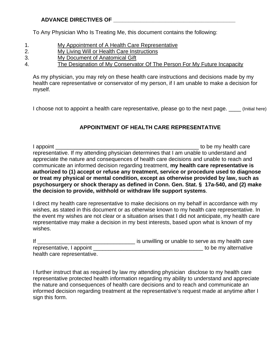To Any Physician Who Is Treating Me, this document contains the following:

- 1. My Appointment of A Health Care Representative
- 2. My Living Will or Health Care Instructions
- 3. My Document of Anatomical Gift
- 4. The Designation of My Conservator Of The Person For My Future Incapacity

As my physician, you may rely on these health care instructions and decisions made by my health care representative or conservator of my person, if I am unable to make a decision for myself.

I choose not to appoint a health care representative, please go to the next page. (Initial here)

#### **APPOINTMENT OF HEALTH CARE REPRESENTATIVE**

I appoint **I** appoint representative. If my attending physician determines that I am unable to understand and appreciate the nature and consequences of health care decisions and unable to reach and communicate an informed decision regarding treatment, **my health care representative is authorized to (1) accept or refuse any treatment, service or procedure used to diagnose or treat my physical or mental condition, except as otherwise provided by law, such as psychosurgery or shock therapy as defined in Conn. Gen. Stat. § 17a-540, and (2) make the decision to provide, withhold or withdraw life support systems**.

I direct my health care representative to make decisions on my behalf in accordance with my wishes, as stated in this document or as otherwise known to my health care representative. In the event my wishes are not clear or a situation arises that I did not anticipate, my health care representative may make a decision in my best interests, based upon what is known of my wishes.

| lf                          | is unwilling or unable to serve as my health care |
|-----------------------------|---------------------------------------------------|
| representative, I appoint   | to be my alternative                              |
| health care representative. |                                                   |

I further instruct that as required by law my attending physician disclose to my health care representative protected health information regarding my ability to understand and appreciate the nature and consequences of health care decisions and to reach and communicate an informed decision regarding treatment at the representative's request made at anytime after I sign this form.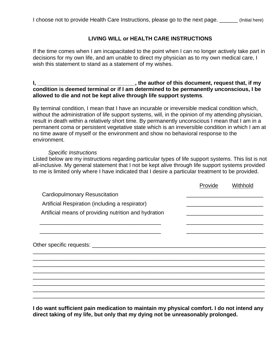#### **LIVING WILL or HEALTH CARE INSTRUCTIONS**

If the time comes when I am incapacitated to the point when I can no longer actively take part in decisions for my own life, and am unable to direct my physician as to my own medical care, I wish this statement to stand as a statement of my wishes.

**I, \_\_\_\_\_\_\_\_\_\_\_\_\_\_\_\_\_\_\_\_\_\_\_\_\_\_\_\_\_\_\_\_, the author of this document, request that, if my condition is deemed terminal or if I am determined to be permanently unconscious, I be allowed to die and not be kept alive through life support systems**.

By terminal condition, I mean that I have an incurable or irreversible medical condition which, without the administration of life support systems, will, in the opinion of my attending physician, result in death within a relatively short time. By permanently unconscious I mean that I am in a permanent coma or persistent vegetative state which is an irreversible condition in which I am at no time aware of myself or the environment and show no behavioral response to the environment.

#### *Specific Instructions*

Listed below are my instructions regarding particular types of life support systems. This list is not all-inclusive. My general statement that I not be kept alive through life support systems provided to me is limited only where I have indicated that I desire a particular treatment to be provided.

|                                                       | Provide | Withhold                                                                                                             |
|-------------------------------------------------------|---------|----------------------------------------------------------------------------------------------------------------------|
| <b>Cardiopulmonary Resuscitation</b>                  |         |                                                                                                                      |
| Artificial Respiration (including a respirator)       |         |                                                                                                                      |
| Artificial means of providing nutrition and hydration |         | <u> 1989 - Johann Stein, mars an deutscher Stein und der Stein und der Stein und der Stein und der Stein und der</u> |
|                                                       |         |                                                                                                                      |
|                                                       |         |                                                                                                                      |
|                                                       |         |                                                                                                                      |
|                                                       |         |                                                                                                                      |
|                                                       |         |                                                                                                                      |
|                                                       |         |                                                                                                                      |
|                                                       |         |                                                                                                                      |
|                                                       |         |                                                                                                                      |
|                                                       |         |                                                                                                                      |

**I do want sufficient pain medication to maintain my physical comfort. I do not intend any direct taking of my life, but only that my dying not be unreasonably prolonged.**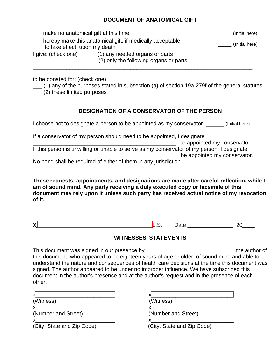#### **DOCUMENT OF ANATOMICAL GIFT**

| I make no anatomical gift at this time.                                                                                        | (Initial here) |
|--------------------------------------------------------------------------------------------------------------------------------|----------------|
| I hereby make this anatomical gift, if medically acceptable,<br>to take effect upon my death                                   | (Initial here) |
| I give: (check one) ____(1) any needed organs or parts<br>$\frac{1}{1}$ (2) only the following organs or parts:                |                |
| to be donated for: (check one)<br>(1) any of the purposes stated in subsection (a) of section 19a-279f of the general statutes |                |
|                                                                                                                                |                |

\_\_\_ (2) these limited purposes \_\_\_\_\_\_\_\_\_\_\_\_\_\_\_\_\_\_\_\_\_\_\_\_\_\_\_\_\_\_\_\_\_\_\_\_\_\_\_.

#### **DESIGNATION OF A CONSERVATOR OF THE PERSON**

I choose not to designate a person to be appointed as my conservator.  $\qquad \qquad$  (Initial here)

If a conservator of my person should need to be appointed, I designate

\_\_\_\_\_\_\_\_\_\_\_\_\_\_\_\_\_\_\_\_\_\_\_\_\_\_\_\_\_\_\_\_\_\_\_\_\_\_\_\_\_\_\_\_\_\_\_, be appointed my conservator.

If this person is unwilling or unable to serve as my conservator of my person, I designate be appointed my conservator.

No bond shall be required of either of them in any jurisdiction.

**These requests, appointments, and designations are made after careful reflection, while I am of sound mind. Any party receiving a duly executed copy or facsimile of this document may rely upon it unless such party has received actual notice of my revocation of it.** 

**x**[\\_\\_\\_\\_\\_\\_\\_\\_\\_\\_\\_\\_\\_\\_\\_\\_\\_\\_\\_\\_\\_\\_\\_\\_\\_\\_\\_\\_\\_\\_\\_\\_\\_\\_\\_\\_\\_\\_](www.esign.com)L.S. Date \_\_\_\_\_\_\_\_\_\_\_\_\_\_\_, 20\_\_\_\_

#### **WITNESSES' STATEMENTS**

This document was signed in our presence by \_\_\_\_\_\_\_\_\_\_\_\_\_\_\_\_\_\_\_\_\_\_\_\_\_\_\_\_\_ the author of this document, who appeared to be eighteen years of age or older, of sound mind and able to understand the nature and consequences of health care decisions at the time this document was signed. The author appeared to be under no improper influence. We have subscribed this document in the author's presence and at the author's request and in the presence of each other.

| (Witness)                  | (Witness)                  |
|----------------------------|----------------------------|
|                            |                            |
| (Number and Street)        | (Number and Street)        |
|                            |                            |
| (City, State and Zip Code) | (City, State and Zip Code) |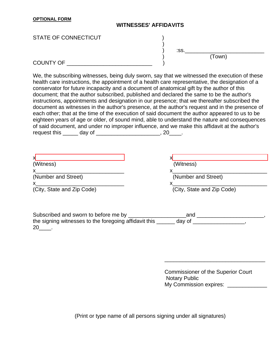**OPTIONAL FORM**

#### **WITNESSES' AFFIDAVITS**

| <b>STATE OF CONNECTICUT</b> |      |        |
|-----------------------------|------|--------|
|                             | :SS. |        |
|                             |      | (Town) |
| <b>COUNTY OF</b>            |      |        |

We, the subscribing witnesses, being duly sworn, say that we witnessed the execution of these health care instructions, the appointment of a health care representative, the designation of a conservator for future incapacity and a document of anatomical gift by the author of this document; that the author subscribed, published and declared the same to be the author's instructions, appointments and designation in our presence; that we thereafter subscribed the document as witnesses in the author's presence, at the author's request and in the presence of each other; that at the time of the execution of said document the author appeared to us to be eighteen years of age or older, of sound mind, able to understand the nature and consequences of said document, and under no improper influence, and we make this affidavit at the author's request this \_\_\_\_\_\_ day of \_\_\_\_\_\_\_\_\_\_\_\_\_\_\_\_\_\_\_\_\_\_\_, 20\_\_\_\_.

| χ                          |                            |
|----------------------------|----------------------------|
| (Witness)                  | (Witness)                  |
| x                          |                            |
| (Number and Street)        | (Number and Street)        |
| χ                          |                            |
| (City, State and Zip Code) | (City, State and Zip Code) |
|                            |                            |
|                            |                            |

Subscribed and sworn to before me by \_\_\_\_\_\_\_\_\_\_\_\_\_\_\_\_\_\_\_and \_\_\_\_\_\_\_\_\_\_\_\_\_\_\_\_\_\_\_\_\_\_, the signing witnesses to the foregoing affidavit this \_\_\_\_\_\_ day of \_\_\_\_\_\_\_\_\_\_\_\_\_\_\_, 20\_\_\_\_.

> Commissioner of the Superior Court Notary Public My Commission expires: \_\_\_\_\_\_\_\_\_\_\_\_\_

> \_\_\_\_\_\_\_\_\_\_\_\_\_\_\_\_\_\_\_\_\_\_\_\_\_\_\_\_\_\_\_\_\_

(Print or type name of all persons signing under all signatures)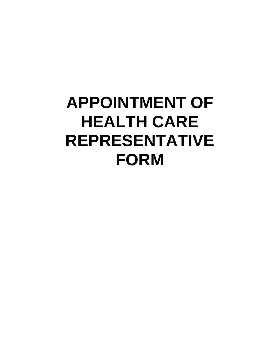## **APPOINTMENT OF HEALTH CARE REPRESENTATIVE FORM**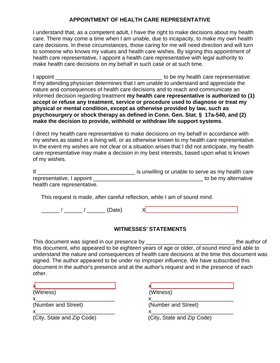#### **APPOINTMENT OF HEALTH CARE REPRESENTATIVE**

I understand that, as a competent adult, I have the right to make decisions about my health care. There may come a time when I am unable, due to incapacity, to make my own health care decisions. In these circumstances, those caring for me will need direction and will turn to someone who knows my values and health care wishes. By signing this appointment of health care representative, I appoint a health care representative with legal authority to make health care decisions on my behalf in such case or at such time.

I appoint **I** appoint **EXECUTE:** The most of the my health care representative. If my attending physician determines that I am unable to understand and appreciate the nature and consequences of health care decisions and to reach and communicate an informed decision regarding treatment **my health care representative is authorized to (1) accept or refuse any treatment, service or procedure used to diagnose or treat my physical or mental condition, except as otherwise provided by law, such as psychosurgery or shock therapy as defined in Conn. Gen. Stat. § 17a-540, and (2) make the decision to provide, withhold or withdraw life support systems**.

I direct my health care representative to make decisions on my behalf in accordance with my wishes as stated in a living will, or as otherwise known to my health care representative. In the event my wishes are not clear or a situation arises that I did not anticipate, my health care representative may make a decision in my best interests, based upon what is known of my wishes.

| If                          | is unwilling or unable to serve as my health care |
|-----------------------------|---------------------------------------------------|
| representative, I appoint   | to be my alternative                              |
| health care representative. |                                                   |

This request is made, after careful reflection, while I am of sound mind.

\_\_\_\_\_\_ / \_\_\_\_\_\_ / \_\_\_\_\_\_ (Date) X[\\_\\_\\_\\_\\_\\_\\_\\_\\_\\_\\_\\_\\_\\_\\_\\_\\_\\_\\_\\_\\_\\_\\_\\_\\_\\_\\_\\_\\_\\_](www.esign.com) 

#### **WITNESSES' STATEMENTS**

This document was signed in our presence by \_\_\_\_\_\_\_\_\_\_\_\_\_\_\_\_\_\_\_\_\_\_\_\_\_\_\_\_\_ the author of this document, who appeared to be eighteen years of age or older, of sound mind and able to understand the nature and consequences of health care decisions at the time this document was signed. The author appeared to be under no improper influence. We have subscribed this document in the author's presence and at the author's request and in the presence of each other.

| (Witness)                  | (Witness)                  |
|----------------------------|----------------------------|
|                            |                            |
| (Number and Street)        | (Number and Street)        |
|                            |                            |
| (City, State and Zip Code) | (City, State and Zip Code) |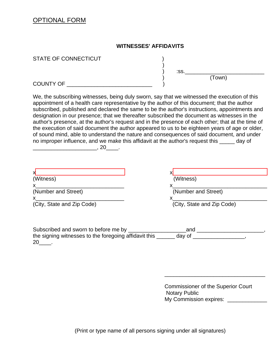#### OPTIONAL FORM

#### **WITNESSES' AFFIDAVITS**

| STATE OF CONNECTICUT |        |  |
|----------------------|--------|--|
|                      |        |  |
|                      | :SS.   |  |
|                      | (Town) |  |
| <b>COUNTY OF</b>     |        |  |

We, the subscribing witnesses, being duly sworn, say that we witnessed the execution of this appointment of a health care representative by the author of this document; that the author subscribed, published and declared the same to be the author's instructions, appointments and designation in our presence; that we thereafter subscribed the document as witnesses in the author's presence, at the author's request and in the presence of each other; that at the time of the execution of said document the author appeared to us to be eighteen years of age or older, of sound mind, able to understand the nature and consequences of said document, and under no improper influence, and we make this affidavit at the author's request this \_\_\_\_\_ day of

| - |
|---|
|   |

| x                          |                            |
|----------------------------|----------------------------|
| (Witness)                  | (Witness)                  |
|                            |                            |
| (Number and Street)        | (Number and Street)        |
| x                          |                            |
| (City, State and Zip Code) | (City, State and Zip Code) |

Subscribed and sworn to before me by \_\_\_\_\_\_\_\_\_\_\_\_\_\_\_\_\_\_\_and \_\_\_\_\_\_\_\_\_\_\_\_\_\_\_\_\_\_\_\_\_\_, the signing witnesses to the foregoing affidavit this \_\_\_\_\_\_ day of \_\_\_\_\_\_\_\_\_\_\_\_\_\_\_, 20\_\_\_\_.

> Commissioner of the Superior Court Notary Public My Commission expires: \_\_\_\_\_\_\_\_\_\_\_\_\_

> \_\_\_\_\_\_\_\_\_\_\_\_\_\_\_\_\_\_\_\_\_\_\_\_\_\_\_\_\_\_\_\_\_

(Print or type name of all persons signing under all signatures)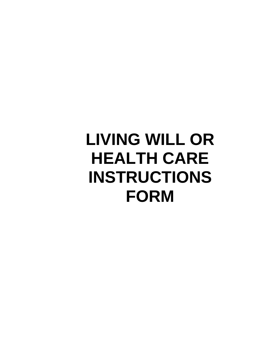## **LIVING WILL OR HEALTH CARE INSTRUCTIONS FORM**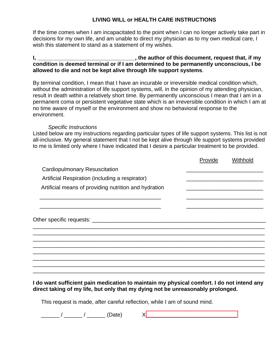#### **LIVING WILL or HEALTH CARE INSTRUCTIONS**

If the time comes when I am incapacitated to the point when I can no longer actively take part in decisions for my own life, and am unable to direct my physician as to my own medical care, I wish this statement to stand as a statement of my wishes.

**I, \_\_\_\_\_\_\_\_\_\_\_\_\_\_\_\_\_\_\_\_\_\_\_\_\_\_\_\_\_\_\_\_, the author of this document, request that, if my condition is deemed terminal or if I am determined to be permanently unconscious, I be allowed to die and not be kept alive through life support systems**.

By terminal condition, I mean that I have an incurable or irreversible medical condition which, without the administration of life support systems, will, in the opinion of my attending physician, result in death within a relatively short time. By permanently unconscious I mean that I am in a permanent coma or persistent vegetative state which is an irreversible condition in which I am at no time aware of myself or the environment and show no behavioral response to the environment.

#### *Specific Instructions*

Listed below are my instructions regarding particular types of life support systems. This list is not all-inclusive. My general statement that I not be kept alive through life support systems provided to me is limited only where I have indicated that I desire a particular treatment to be provided.

|                                                             | Provide | Withhold                                                |
|-------------------------------------------------------------|---------|---------------------------------------------------------|
| <b>Cardiopulmonary Resuscitation</b>                        |         |                                                         |
| Artificial Respiration (including a respirator)             |         | <u> 1980 - Johann John Stein, mars et al. (</u> † 1900) |
| Artificial means of providing nutrition and hydration       |         |                                                         |
|                                                             |         |                                                         |
|                                                             |         |                                                         |
| <u> 1989 - Johann Stoff, Amerikaansk politiker (* 1905)</u> |         |                                                         |
|                                                             |         |                                                         |
|                                                             |         |                                                         |
|                                                             |         |                                                         |
|                                                             |         |                                                         |
|                                                             |         |                                                         |
|                                                             |         |                                                         |

**I do want sufficient pain medication to maintain my physical comfort. I do not intend any direct taking of my life, but only that my dying not be unreasonably prolonged.** 

This request is made, after careful reflection, while I am of sound mind.

\_\_\_\_\_\_ / \_\_\_\_\_\_ / \_\_\_\_\_\_ (Date) X[\\_\\_\\_\\_\\_\\_\\_\\_\\_\\_\\_\\_\\_\\_\\_\\_\\_\\_\\_\\_\\_\\_\\_\\_\\_\\_\\_\\_\\_\\_](www.esign.com)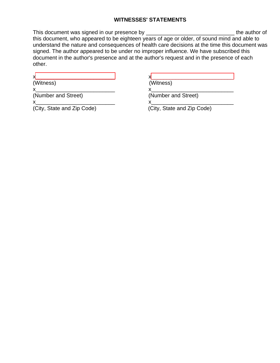#### **WITNESSES' STATEMENTS**

This document was signed in our presence by \_\_\_\_\_\_\_\_\_\_\_\_\_\_\_\_\_\_\_\_\_\_\_\_\_\_\_\_\_ the author of this document, who appeared to be eighteen years of age or older, of sound mind and able to understand the nature and consequences of health care decisions at the time this document was signed. The author appeared to be under no improper influence. We have subscribed this document in the author's presence and at the author's request and in the presence of each other.

(Witness) (Witness)

(Number and Street) (Number and Street) x\_\_\_\_\_\_\_\_\_\_\_\_\_\_\_\_\_\_\_\_\_\_\_\_\_\_ x\_\_\_\_\_\_\_\_\_\_\_\_\_\_\_\_\_\_\_\_\_\_\_\_\_\_\_

[x\\_\\_\\_\\_\\_\\_\\_\\_\\_\\_\\_\\_\\_\\_\\_\\_\\_\\_\\_\\_\\_\\_\\_\\_\\_\\_ x\\_\\_\\_\\_\\_\\_\\_\\_\\_\\_\\_\\_\\_\\_\\_\\_\\_\\_\\_\\_\\_\\_\\_\\_\\_\\_\\_](www.esign.com) 

x\_\_\_\_\_\_\_\_\_\_\_\_\_\_\_\_\_\_\_\_\_\_\_\_\_\_ x\_\_\_\_\_\_\_\_\_\_\_\_\_\_\_\_\_\_\_\_\_\_\_\_\_\_\_

(City, State and Zip Code) (City, State and Zip Code)